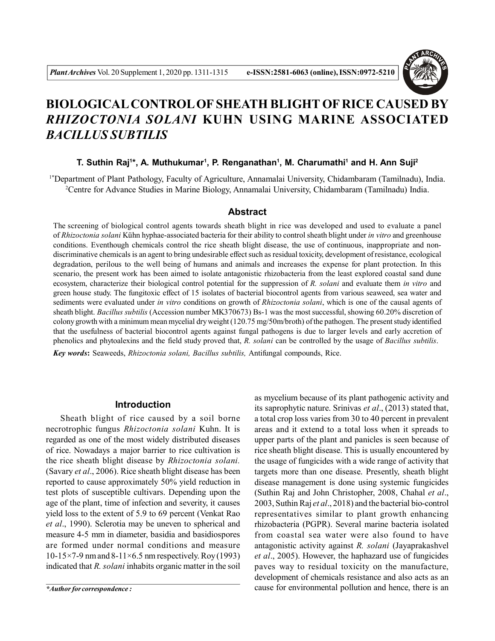

# **BIOLOGICAL CONTROL OF SHEATH BLIGHT OF RICE CAUSED BY** *RHIZOCTONIA SOLANI* **KUHN USING MARINE ASSOCIATED** *BACILLUS SUBTILIS*

## **T. Suthin Raj<sup>1</sup> \*, A. Muthukumar<sup>1</sup> , P. Renganathan<sup>1</sup> , M. Charumathi<sup>1</sup> and H. Ann Suji<sup>2</sup>**

1\*Department of Plant Pathology, Faculty of Agriculture, Annamalai University, Chidambaram (Tamilnadu), India. <sup>2</sup>Centre for Advance Studies in Marine Biology, Annamalai University, Chidambaram (Tamilnadu) India.

## **Abstract**

The screening of biological control agents towards sheath blight in rice was developed and used to evaluate a panel of *Rhizoctonia solani* Kühn hyphae-associated bacteria for their ability to control sheath blight under *in vitro* and greenhouse conditions. Eventhough chemicals control the rice sheath blight disease, the use of continuous, inappropriate and nondiscriminative chemicals is an agent to bring undesirable effect such as residual toxicity, development of resistance, ecological degradation, perilous to the well being of humans and animals and increases the expense for plant protection. In this scenario, the present work has been aimed to isolate antagonistic rhizobacteria from the least explored coastal sand dune ecosystem, characterize their biological control potential for the suppression of *R. solani* and evaluate them *in vitro* and green house study. The fungitoxic effect of 15 isolates of bacterial biocontrol agents from various seaweed, sea water and sediments were evaluated under *in vitro* conditions on growth of *Rhizoctonia solani*, which is one of the causal agents of sheath blight. *Bacillus subtilis* (Accession number MK370673) Bs-1 was the most successful, showing 60.20% discretion of colony growth with a minimum mean mycelial dry weight (120.75 mg/50m/broth) of the pathogen. The present study identified that the usefulness of bacterial biocontrol agents against fungal pathogens is due to larger levels and early accretion of phenolics and phytoalexins and the field study proved that, *R. solani* can be controlled by the usage of *Bacillus subtilis*.

*Key words***:** Seaweeds, *Rhizoctonia solani, Bacillus subtilis,* Antifungal compounds, Rice.

# **Introduction**

Sheath blight of rice caused by a soil borne necrotrophic fungus *Rhizoctonia solani* Kuhn. It is regarded as one of the most widely distributed diseases of rice. Nowadays a major barrier to rice cultivation is the rice sheath blight disease by *Rhizoctonia solani.* (Savary *et al*., 2006). Rice sheath blight disease has been reported to cause approximately 50% yield reduction in test plots of susceptible cultivars. Depending upon the age of the plant, time of infection and severity, it causes yield loss to the extent of 5.9 to 69 percent (Venkat Rao *et al*., 1990). Sclerotia may be uneven to spherical and measure 4-5 mm in diameter, basidia and basidiospores are formed under normal conditions and measure 10-15 $\times$ 7-9 nm and 8-11 $\times$ 6.5 nm respectively. Roy (1993) indicated that *R. solani* inhabits organic matter in the soil

*\*Author for correspondence :*

as mycelium because of its plant pathogenic activity and its saprophytic nature. Srinivas *et al*., (2013) stated that, a total crop loss varies from 30 to 40 percent in prevalent areas and it extend to a total loss when it spreads to upper parts of the plant and panicles is seen because of rice sheath blight disease. This is usually encountered by the usage of fungicides with a wide range of activity that targets more than one disease. Presently, sheath blight disease management is done using systemic fungicides (Suthin Raj and John Christopher, 2008, Chahal *et al*., 2003, Suthin Raj *et al*., 2018) and the bacterial bio-control representatives similar to plant growth enhancing rhizobacteria (PGPR). Several marine bacteria isolated from coastal sea water were also found to have antagonistic activity against *R. solani* (Jayaprakashvel *et al*., 2005). However, the haphazard use of fungicides paves way to residual toxicity on the manufacture, development of chemicals resistance and also acts as an cause for environmental pollution and hence, there is an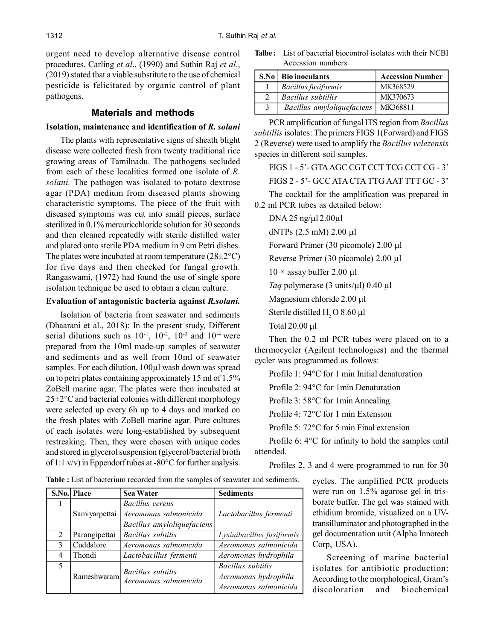urgent need to develop alternative disease control procedures. Carling *et al*., (1990) and Suthin Raj *et al*., (2019) stated that a viable substitute to the use of chemical pesticide is felicitated by organic control of plant pathogens.

# **Materials and methods**

#### **Isolation, maintenance and identification of** *R. solani*

The plants with representative signs of sheath blight disease were collected fresh from twenty traditional rice growing areas of Tamilnadu. The pathogens secluded from each of these localities formed one isolate of *R. solani.* The pathogen was isolated to potato dextrose agar (PDA) medium from diseased plants showing characteristic symptoms. The piece of the fruit with diseased symptoms was cut into small pieces, surface sterilized in 0.1% mercuricchloride solution for 30 seconds and then cleaned repeatedly with sterile distilled water and plated onto sterile PDA medium in 9 cm Petri dishes. The plates were incubated at room temperature  $(28\pm2\degree C)$ for five days and then checked for fungal growth. Rangaswami, (1972) had found the use of single spore isolation technique be used to obtain a clean culture.

#### **Evaluation of antagonistic bacteria against** *R.solani.*

Isolation of bacteria from seawater and sediments (Dhaarani et al., 2018): In the present study, Different serial dilutions such as  $10^{-1}$ ,  $10^{-2}$ ,  $10^{-3}$  and  $10^{-4}$  were prepared from the 10ml made-up samples of seawater and sediments and as well from 10ml of seawater samples. For each dilution, 100µl wash down was spread on to petri plates containing approximately 15 ml of 1.5% ZoBell marine agar. The plates were then incubated at  $25\pm2\degree$ C and bacterial colonies with different morphology were selected up every 6h up to 4 days and marked on the fresh plates with ZoBell marine agar. Pure cultures of each isolates were long-established by subsequent restreaking. Then, they were chosen with unique codes and stored in glycerol suspension (glycerol/bacterial broth of 1:1 v/v) in Eppendorf tubes at -80°C for further analysis.

**Talbe :** List of bacterial biocontrol isolates with their NCBI Accession numbers

| S.No | <b>Bio inoculants</b>      | <b>Accession Number</b> |
|------|----------------------------|-------------------------|
|      | <b>Bacillus</b> fusiformis | MK368529                |
|      | Bacillus subtillis         | MK370673                |
|      | Bacillus amyloliquefaciens | MK368811                |

PCR amplification of fungal ITS region from *Bacillus subtillis* isolates: The primers FIGS 1(Forward) and FIGS 2 (Reverse) were used to amplify the *Bacillus velezensis* species in different soil samples.

FIGS 1 - 5'- GTA AGC CGT CCT TCG CCT CG - 3' FIGS 2 - 5'- GCC ATA CTA TTG AAT TTT GC - 3'

The cocktail for the amplification was prepared in 0.2 ml PCR tubes as detailed below:

DNA 25 ng/ $\mu$ l 2.00 $\mu$ l dNTPs  $(2.5 \text{ mM})$  2.00 µl Forward Primer (30 picomole)  $2.00 \mu l$ Reverse Primer (30 picomole) 2.00 µl  $10 \times$  assay buffer 2.00 µl *Taq* polymerase (3 units/ $\mu$ I) 0.40  $\mu$ I Magnesium chloride 2.00 µl Sterile distilled H<sub>2</sub> O 8.60  $\mu$ l Total  $20.00$  µl

Then the 0.2 ml PCR tubes were placed on to a thermocycler (Agilent technologies) and the thermal cycler was programmed as follows:

Profile 1: 94°C for 1 min Initial denaturation

Profile 2: 94°C for 1min Denaturation

Profile 3: 58°C for 1min Annealing

Profile 4: 72°C for 1 min Extension

Profile 5: 72°C for 5 min Final extension

Profile 6: 4°C for infinity to hold the samples until attended.

Profiles 2, 3 and 4 were programmed to run for 30

cycles. The amplified PCR products were run on 1.5% agarose gel in trisborate buffer. The gel was stained with ethidium bromide, visualized on a UVtransilluminator and photographed in the gel documentation unit (Alpha Innotech Corp, USA).

Screening of marine bacterial isolates for antibiotic production: According to the morphological, Gram's discoloration and biochemical

**Table :** List of bacterium recorded from the samples of seawater and sediments.

|   | S.No. Place   | <b>Sea Water</b>           | <b>Sediments</b>          |  |  |
|---|---------------|----------------------------|---------------------------|--|--|
|   |               | Bacillus cereus            |                           |  |  |
|   | Samiyarpettai | Aeromonas salmonicida      | Lactobacillus fermenti    |  |  |
|   |               | Bacillus amyloliquefaciens |                           |  |  |
| 2 | Parangipettai | Bacillus subtilis          | Lysinibacillus fusiformis |  |  |
| 3 | Cuddalore     | Aeromonas salmonicida      | Aeromonas salmonicida     |  |  |
| 4 | Thondi        | Lactobacillus fermenti     | Aeromonas hydrophila      |  |  |
| 5 |               | Bacillus subtilis          | Bacillus subtilis         |  |  |
|   | Rameshwaram   | Aeromonas salmonicida      | Aeromonas hydrophila      |  |  |
|   |               |                            | Aeromonas salmonicida     |  |  |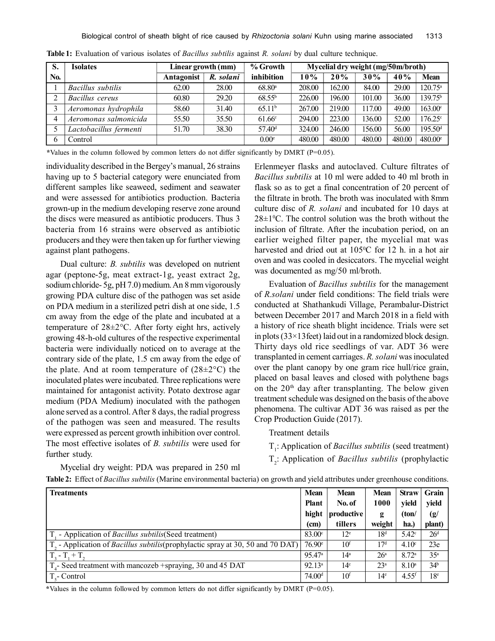| S.  | <b>Isolates</b>        | Linear growth (mm) |           | % Growth           | Mycelial dry weight (mg/50m/broth) |        |        |        |                       |
|-----|------------------------|--------------------|-----------|--------------------|------------------------------------|--------|--------|--------|-----------------------|
| No. |                        | Antagonist         | R. solani | inhibition         | 10%                                | 20%    | 30%    | 40%    | Mean                  |
|     | Bacillus subtilis      | 62.00              | 28.00     | 68.80 <sup>a</sup> | 208.00                             | 162.00 | 84.00  | 29.00  | $120.75^a$            |
|     | Bacillus cereus        | 60.80              | 29.20     | $68.55^{b}$        | 226.00                             | 196.00 | 101.00 | 36.00  | 139.75 <sup>b</sup>   |
|     | Aeromonas hydrophila   | 58.60              | 31.40     | 65.11 <sup>b</sup> | 267.00                             | 219.00 | 117.00 | 49.00  | $163.00^{\circ}$      |
| 4   | Aeromonas salmonicida  | 55.50              | 35.50     | $61.66^{\circ}$    | 294.00                             | 223.00 | 136.00 | 52.00  | $176.25^{\circ}$      |
|     | Lactobacillus fermenti | 51.70              | 38.30     | 57.40 <sup>d</sup> | 324.00                             | 246.00 | 156.00 | 56.00  | $195.50$ <sup>d</sup> |
| 6   | Control                |                    |           | 0.00 <sup>e</sup>  | 480.00                             | 480.00 | 480.00 | 480.00 | $480.00$ <sup>e</sup> |

**Table 1:** Evaluation of various isolates of *Bacillus subtilis* against *R. solani* by dual culture technique.

**\***Values in the column followed by common letters do not differ significantly by DMRT (P=0.05).

individuality described in the Bergey's manual, 26 strains having up to 5 bacterial category were enunciated from different samples like seaweed, sediment and seawater and were assessed for antibiotics production. Bacteria grown-up in the medium developing reserve zone around the discs were measured as antibiotic producers. Thus 3 bacteria from 16 strains were observed as antibiotic producers and they were then taken up for further viewing against plant pathogens.

Dual culture: *B. subtilis* was developed on nutrient agar (peptone-5g, meat extract-1g, yeast extract 2g, sodium chloride- 5g, pH 7.0) medium. An 8 mm vigorously growing PDA culture disc of the pathogen was set aside on PDA medium in a sterilized petri dish at one side, 1.5 cm away from the edge of the plate and incubated at a temperature of 28±2°C. After forty eight hrs, actively growing 48-h-old cultures of the respective experimental bacteria were individually noticed on to average at the contrary side of the plate, 1.5 cm away from the edge of the plate. And at room temperature of  $(28\pm2\degree C)$  the inoculated plates were incubated. Three replications were maintained for antagonist activity. Potato dextrose agar medium (PDA Medium) inoculated with the pathogen alone served as a control. After 8 days, the radial progress of the pathogen was seen and measured. The results were expressed as percent growth inhibition over control. The most effective isolates of *B. subtilis* were used for further study.

Erlenmeyer flasks and autoclaved. Culture filtrates of *Bacillus subtilis* at 10 ml were added to 40 ml broth in flask so as to get a final concentration of 20 percent of the filtrate in broth. The broth was inoculated with 8mm culture disc of *R. solani* and incubated for 10 days at  $28\pm1$ <sup>o</sup>C. The control solution was the broth without the inclusion of filtrate. After the incubation period, on an earlier weighed filter paper, the mycelial mat was harvested and dried out at 105°C for 12 h. in a hot air oven and was cooled in desiccators. The mycelial weight was documented as mg/50 ml/broth.

Evaluation of *Bacillus subtilis* for the management of *R.solani* under field conditions: The field trials were conducted at Shathankudi Village, Perambalur-District between December 2017 and March 2018 in a field with a history of rice sheath blight incidence. Trials were set in plots (33×13feet) laid out in a randomized block design. Thirty days old rice seedlings of var. ADT 36 were transplanted in cement carriages. *R. solani* was inoculated over the plant canopy by one gram rice hull/rice grain, placed on basal leaves and closed with polythene bags on the  $20<sup>th</sup>$  day after transplanting. The below given treatment schedule was designed on the basis of the above phenomena. The cultivar ADT 36 was raised as per the Crop Production Guide (2017).

Treatment details

T<sub>1</sub>: Application of *Bacillus subtilis* (seed treatment)

T2 : Application of *Bacillus subtilis* (prophylactic

Mycelial dry weight: PDA was prepared in 250 ml

**Table 2:** Effect of *Bacillus subtilis* (Marine environmental bacteria) on growth and yield attributes under greenhouse conditions.

| <b>Treatments</b>                                                                                  | <b>Mean</b>        | <b>Mean</b>     | <b>Mean</b>     | <b>Straw</b>        | Grain           |
|----------------------------------------------------------------------------------------------------|--------------------|-----------------|-----------------|---------------------|-----------------|
|                                                                                                    | <b>Plant</b>       | No. of          | 1000            | vield               | yield           |
|                                                                                                    | hight              | productive      | g               | (ton/               | (g/             |
|                                                                                                    | (cm)               | tillers         | weight          | ha.)                | plant)          |
| - Application of <i>Bacillus subtilis</i> (Seed treatment)                                         | 83.00 <sup>c</sup> | $12^e$          | 18 <sup>d</sup> | 5.42 <sup>c</sup>   | 26 <sup>d</sup> |
| T <sub>2</sub> - Application of <i>Bacillus subtilis</i> (prophylactic spray at 30, 50 and 70 DAT) | $76.90^{\circ}$    | 10 <sup>f</sup> | 17 <sup>d</sup> | 4.10 <sup>c</sup>   | 23e             |
| $T - T + T$                                                                                        | 95.47 <sup>a</sup> | 14 <sup>a</sup> | 26 <sup>a</sup> | 8.72 <sup>a</sup>   | 35 <sup>a</sup> |
| $T4$ - Seed treatment with mancozeb +spraying, 30 and 45 DAT                                       | 92.13 <sup>a</sup> | 14 <sup>c</sup> | 23 <sup>a</sup> | 8.10 <sup>a</sup>   | 34 <sup>b</sup> |
| $Te$ - Control                                                                                     | 74.00 <sup>d</sup> | 10 <sup>f</sup> | 14 <sup>e</sup> | $4.55$ <sup>f</sup> | 18 <sup>e</sup> |

**\***Values in the column followed by common letters do not differ significantly by DMRT (P=0.05).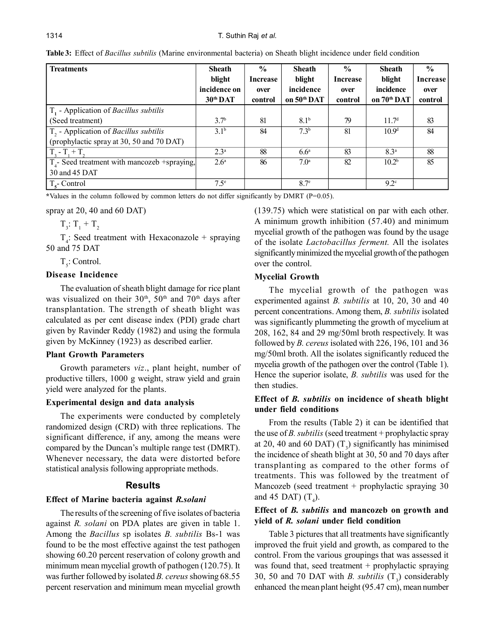| <b>Treatments</b>                                 | <b>Sheath</b>    | $\frac{0}{0}$   | <b>Sheath</b>           | $\frac{6}{9}$   | <b>Sheath</b>           | $\frac{6}{6}$   |
|---------------------------------------------------|------------------|-----------------|-------------------------|-----------------|-------------------------|-----------------|
|                                                   | blight           | <b>Increase</b> | blight                  | <b>Increase</b> | blight                  | <b>Increase</b> |
|                                                   | incidence on     | over            | incidence               | over            | incidence               | over            |
|                                                   | 30th DAT         | control         | on 50 <sup>th</sup> DAT | control         | on 70 <sup>th</sup> DAT | control         |
| $T1$ - Application of <i>Bacillus subtilis</i>    |                  |                 |                         |                 |                         |                 |
| (Seed treatment)                                  | 3.7 <sup>b</sup> | 81              | 8.1 <sup>b</sup>        | 79              | 11.7 <sup>d</sup>       | 83              |
| $T2$ - Application of <i>Bacillus subtilis</i>    | $3.1^{b}$        | 84              | 7.3 <sup>b</sup>        | 81              | 10.9 <sup>d</sup>       | 84              |
| (prophylactic spray at 30, 50 and 70 DAT)         |                  |                 |                         |                 |                         |                 |
| $T_3 - T_1 + T_2$                                 | 2.3 <sup>a</sup> | 88              | 6.6 <sup>a</sup>        | 83              | 8.3 <sup>a</sup>        | 88              |
| $T_{4}$ - Seed treatment with mancozeb +spraying, | 2.6 <sup>a</sup> | 86              | 7.0 <sup>a</sup>        | 82              | 10.2 <sup>b</sup>       | 85              |
| 30 and 45 DAT                                     |                  |                 |                         |                 |                         |                 |
| $T_{\rm s}$ - Control                             | 7.5 <sup>e</sup> |                 | 8.7 <sup>e</sup>        |                 | 9.2 <sup>c</sup>        |                 |

**Table 3:** Effect of *Bacillus subtilis* (Marine environmental bacteria) on Sheath blight incidence under field condition

**\***Values in the column followed by common letters do not differ significantly by DMRT (P=0.05).

spray at 20, 40 and 60 DAT)

 $T_3: T_1 + T_2$ 

 $T_4$ : Seed treatment with Hexaconazole + spraying 50 and 75 DAT

 $T_{5}$ : Control.

## **Disease Incidence**

The evaluation of sheath blight damage for rice plant was visualized on their  $30<sup>th</sup>$ ,  $50<sup>th</sup>$  and  $70<sup>th</sup>$  days after transplantation. The strength of sheath blight was calculated as per cent disease index (PDI) grade chart given by Ravinder Reddy (1982) and using the formula given by McKinney (1923) as described earlier.

## **Plant Growth Parameters**

Growth parameters *viz*., plant height, number of productive tillers, 1000 g weight, straw yield and grain yield were analyzed for the plants.

## **Experimental design and data analysis**

The experiments were conducted by completely randomized design (CRD) with three replications. The significant difference, if any, among the means were compared by the Duncan's multiple range test (DMRT). Whenever necessary, the data were distorted before statistical analysis following appropriate methods.

# **Results**

## **Effect of Marine bacteria against** *R.solani*

The results of the screening of five isolates of bacteria against *R. solani* on PDA plates are given in table 1. Among the *Bacillus* sp isolates *B. subtilis* Bs-1 was found to be the most effective against the test pathogen showing 60.20 percent reservation of colony growth and minimum mean mycelial growth of pathogen (120.75). It was further followed by isolated *B. cereus* showing 68.55 percent reservation and minimum mean mycelial growth (139.75) which were statistical on par with each other. A minimum growth inhibition (57.40) and minimum mycelial growth of the pathogen was found by the usage of the isolate *Lactobacillus ferment.* All the isolates significantly minimized the mycelial growth of the pathogen over the control.

# **Mycelial Growth**

The mycelial growth of the pathogen was experimented against *B. subtilis* at 10, 20, 30 and 40 percent concentrations. Among them, *B. subtilis* isolated was significantly plummeting the growth of mycelium at 208, 162, 84 and 29 mg/50ml broth respectively. It was followed by *B. cereus* isolated with 226, 196, 101 and 36 mg/50ml broth. All the isolates significantly reduced the mycelia growth of the pathogen over the control (Table 1). Hence the superior isolate, *B. subtilis* was used for the then studies.

# **Effect of** *B. subtilis* **on incidence of sheath blight under field conditions**

From the results (Table 2) it can be identified that the use of *B. subtilis* (seed treatment + prophylactic spray at 20, 40 and 60 DAT)  $(T_3)$  significantly has minimised the incidence of sheath blight at 30, 50 and 70 days after transplanting as compared to the other forms of treatments. This was followed by the treatment of Mancozeb (seed treatment + prophylactic spraying 30 and 45 DAT)  $(T_4)$ .

# **Effect of** *B. subtilis* **and mancozeb on growth and yield of** *R. solani* **under field condition**

Table 3 pictures that all treatments have significantly improved the fruit yield and growth, as compared to the control. From the various groupings that was assessed it was found that, seed treatment + prophylactic spraying 30, 50 and 70 DAT with *B*. *subtilis*  $(T_3)$  considerably enhanced the mean plant height (95.47 cm), mean number